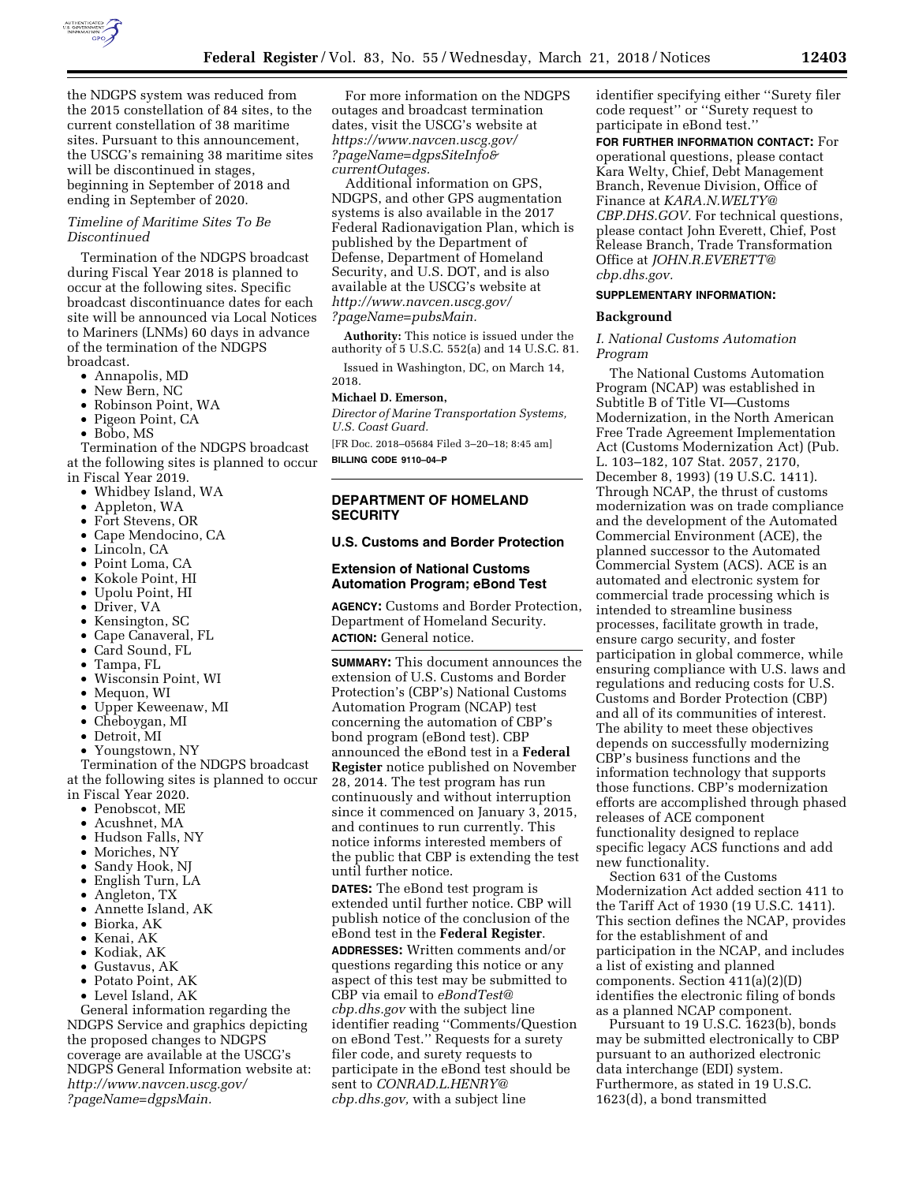

the NDGPS system was reduced from the 2015 constellation of 84 sites, to the current constellation of 38 maritime sites. Pursuant to this announcement, the USCG's remaining 38 maritime sites will be discontinued in stages, beginning in September of 2018 and ending in September of 2020.

## *Timeline of Maritime Sites To Be Discontinued*

Termination of the NDGPS broadcast during Fiscal Year 2018 is planned to occur at the following sites. Specific broadcast discontinuance dates for each site will be announced via Local Notices to Mariners (LNMs) 60 days in advance of the termination of the NDGPS broadcast.

- Annapolis, MD
- New Bern, NC
- Robinson Point, WA
- Pigeon Point, CA
- Bobo, MS

Termination of the NDGPS broadcast at the following sites is planned to occur in Fiscal Year 2019.

- Whidbey Island, WA
- 
- Appleton, WA
- Fort Stevens, OR
- Cape Mendocino, CA
- Lincoln, CA
- Point Loma, CA
- Kokole Point, HI
- Upolu Point, HI
- Driver, VA
- Kensington, SC
- Cape Canaveral, FL
- Card Sound, FL
- Tampa, FL
- Wisconsin Point, WI
- Mequon, WI
- Upper Keweenaw, MI
- Cheboygan, MI
- Detroit, MI
- Youngstown, NY

Termination of the NDGPS broadcast at the following sites is planned to occur in Fiscal Year 2020.

- Penobscot, ME
- Acushnet, MA
- Hudson Falls, NY
- Moriches, NY
- Sandy Hook, NJ
- English Turn, LA
- Angleton, TX
- Annette Island, AK
- Biorka, AK
- Kenai, AK
- Kodiak, AK
- Gustavus, AK
- Potato Point, AK
- Level Island, AK

General information regarding the NDGPS Service and graphics depicting the proposed changes to NDGPS coverage are available at the USCG's NDGPS General Information website at: *[http://www.navcen.uscg.gov/](http://www.navcen.uscg.gov/?pageName=dgpsMain) [?pageName=dgpsMain.](http://www.navcen.uscg.gov/?pageName=dgpsMain)* 

For more information on the NDGPS outages and broadcast termination dates, visit the USCG's website at *[https://www.navcen.uscg.gov/](https://www.navcen.uscg.gov/?pageName=dgpsSiteInfo¤tOutages) [?pageName=dgpsSiteInfo&](https://www.navcen.uscg.gov/?pageName=dgpsSiteInfo¤tOutages) [currentOutages.](https://www.navcen.uscg.gov/?pageName=dgpsSiteInfo¤tOutages)* 

Additional information on GPS, NDGPS, and other GPS augmentation systems is also available in the 2017 Federal Radionavigation Plan, which is published by the Department of Defense, Department of Homeland Security, and U.S. DOT, and is also available at the USCG's website at *[http://www.navcen.uscg.gov/](http://www.navcen.uscg.gov/?pageName=pubsMain) [?pageName=pubsMain.](http://www.navcen.uscg.gov/?pageName=pubsMain)* 

**Authority:** This notice is issued under the authority of 5 U.S.C. 552(a) and 14 U.S.C. 81.

Issued in Washington, DC, on March 14, 2018.

### **Michael D. Emerson,**

*Director of Marine Transportation Systems, U.S. Coast Guard.* 

[FR Doc. 2018–05684 Filed 3–20–18; 8:45 am] **BILLING CODE 9110–04–P** 

**DEPARTMENT OF HOMELAND SECURITY** 

### **U.S. Customs and Border Protection**

## **Extension of National Customs Automation Program; eBond Test**

**AGENCY:** Customs and Border Protection, Department of Homeland Security. **ACTION:** General notice.

**SUMMARY:** This document announces the extension of U.S. Customs and Border Protection's (CBP's) National Customs Automation Program (NCAP) test concerning the automation of CBP's bond program (eBond test). CBP announced the eBond test in a **Federal Register** notice published on November 28, 2014. The test program has run continuously and without interruption since it commenced on January 3, 2015, and continues to run currently. This notice informs interested members of the public that CBP is extending the test until further notice.

**DATES:** The eBond test program is extended until further notice. CBP will publish notice of the conclusion of the eBond test in the **Federal Register**. **ADDRESSES:** Written comments and/or questions regarding this notice or any aspect of this test may be submitted to CBP via email to *[eBondTest@](mailto:eBondTest@cbp.dhs.gov) [cbp.dhs.gov](mailto:eBondTest@cbp.dhs.gov)* with the subject line identifier reading ''Comments/Question on eBond Test.'' Requests for a surety filer code, and surety requests to participate in the eBond test should be sent to *[CONRAD.L.HENRY@](mailto:CONRAD.L.HENRY@cbp.dhs.gov) [cbp.dhs.gov,](mailto:CONRAD.L.HENRY@cbp.dhs.gov)* with a subject line

identifier specifying either ''Surety filer code request'' or ''Surety request to participate in eBond test.''

**FOR FURTHER INFORMATION CONTACT:** For operational questions, please contact Kara Welty, Chief, Debt Management Branch, Revenue Division, Office of Finance at *[KARA.N.WELTY@](mailto:KARA.N.WELTY@CBP.DHS.GOV) [CBP.DHS.GOV.](mailto:KARA.N.WELTY@CBP.DHS.GOV)* For technical questions, please contact John Everett, Chief, Post Release Branch, Trade Transformation Office at *[JOHN.R.EVERETT@](mailto:JOHN.R.EVERETT@cbp.dhs.gov) [cbp.dhs.gov.](mailto:JOHN.R.EVERETT@cbp.dhs.gov)* 

### **SUPPLEMENTARY INFORMATION:**

### **Background**

*I. National Customs Automation Program* 

The National Customs Automation Program (NCAP) was established in Subtitle B of Title VI—Customs Modernization, in the North American Free Trade Agreement Implementation Act (Customs Modernization Act) (Pub. L. 103–182, 107 Stat. 2057, 2170, December 8, 1993) (19 U.S.C. 1411). Through NCAP, the thrust of customs modernization was on trade compliance and the development of the Automated Commercial Environment (ACE), the planned successor to the Automated Commercial System (ACS). ACE is an automated and electronic system for commercial trade processing which is intended to streamline business processes, facilitate growth in trade, ensure cargo security, and foster participation in global commerce, while ensuring compliance with U.S. laws and regulations and reducing costs for U.S. Customs and Border Protection (CBP) and all of its communities of interest. The ability to meet these objectives depends on successfully modernizing CBP's business functions and the information technology that supports those functions. CBP's modernization efforts are accomplished through phased releases of ACE component functionality designed to replace specific legacy ACS functions and add new functionality.

Section 631 of the Customs Modernization Act added section 411 to the Tariff Act of 1930 (19 U.S.C. 1411). This section defines the NCAP, provides for the establishment of and participation in the NCAP, and includes a list of existing and planned components. Section 411(a)(2)(D) identifies the electronic filing of bonds as a planned NCAP component.

Pursuant to 19 U.S.C. 1623(b), bonds may be submitted electronically to CBP pursuant to an authorized electronic data interchange (EDI) system. Furthermore, as stated in 19 U.S.C. 1623(d), a bond transmitted